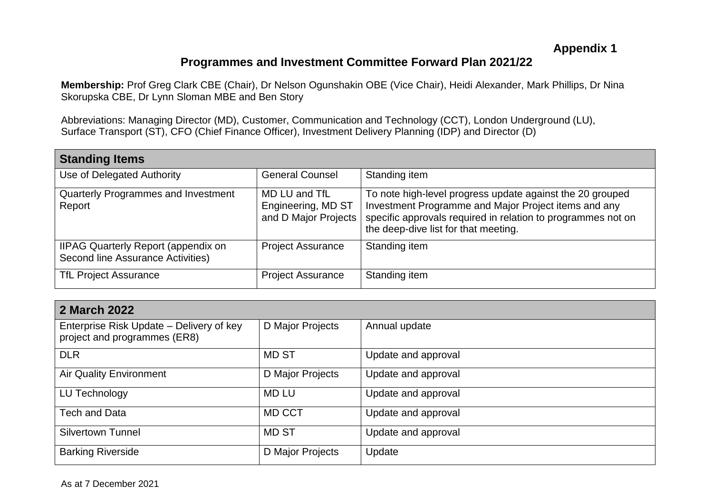## **Programmes and Investment Committee Forward Plan 2021/22**

**Membership:** Prof Greg Clark CBE (Chair), Dr Nelson Ogunshakin OBE (Vice Chair), Heidi Alexander, Mark Phillips, Dr Nina Skorupska CBE, Dr Lynn Sloman MBE and Ben Story

Abbreviations: Managing Director (MD), Customer, Communication and Technology (CCT), London Underground (LU), Surface Transport (ST), CFO (Chief Finance Officer), Investment Delivery Planning (IDP) and Director (D)

| <b>Standing Items</b>                                                           |                                                             |                                                                                                                                                                                                                           |  |
|---------------------------------------------------------------------------------|-------------------------------------------------------------|---------------------------------------------------------------------------------------------------------------------------------------------------------------------------------------------------------------------------|--|
| Use of Delegated Authority                                                      | <b>General Counsel</b>                                      | Standing item                                                                                                                                                                                                             |  |
| Quarterly Programmes and Investment<br>Report                                   | MD LU and TfL<br>Engineering, MD ST<br>and D Major Projects | To note high-level progress update against the 20 grouped<br>Investment Programme and Major Project items and any<br>specific approvals required in relation to programmes not on<br>the deep-dive list for that meeting. |  |
| <b>IIPAG Quarterly Report (appendix on</b><br>Second line Assurance Activities) | <b>Project Assurance</b>                                    | Standing item                                                                                                                                                                                                             |  |
| <b>TfL Project Assurance</b>                                                    | <b>Project Assurance</b>                                    | Standing item                                                                                                                                                                                                             |  |

| <b>2 March 2022</b>                                                      |                  |                     |
|--------------------------------------------------------------------------|------------------|---------------------|
| Enterprise Risk Update - Delivery of key<br>project and programmes (ER8) | D Major Projects | Annual update       |
| <b>DLR</b>                                                               | <b>MD ST</b>     | Update and approval |
| <b>Air Quality Environment</b>                                           | D Major Projects | Update and approval |
| LU Technology                                                            | <b>MD LU</b>     | Update and approval |
| <b>Tech and Data</b>                                                     | <b>MD CCT</b>    | Update and approval |
| <b>Silvertown Tunnel</b>                                                 | <b>MD ST</b>     | Update and approval |
| <b>Barking Riverside</b>                                                 | D Major Projects | Update              |